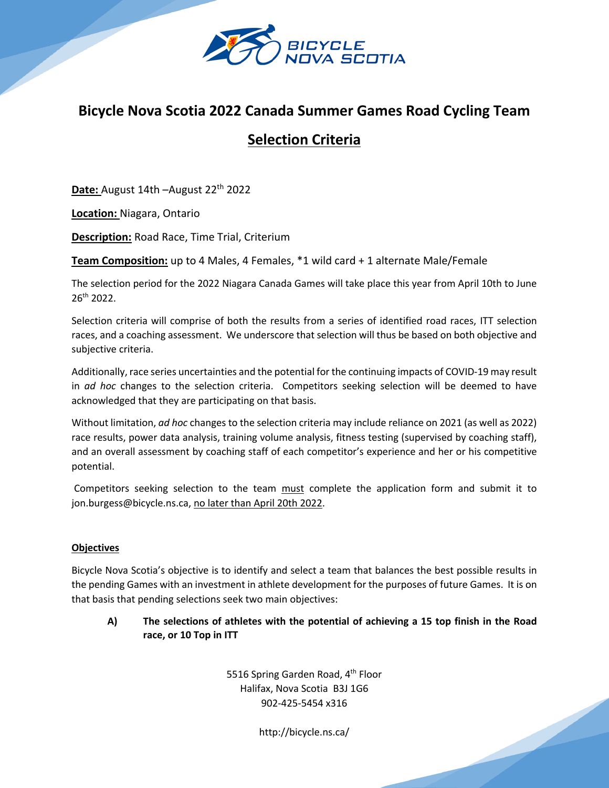

## **Bicycle Nova Scotia 2022 Canada Summer Games Road Cycling Team**

# **Selection Criteria**

**Date:** August 14th –August 22<sup>th</sup> 2022

**Location:** Niagara, Ontario

**Description:** Road Race, Time Trial, Criterium

**Team Composition:** up to 4 Males, 4 Females, \*1 wild card + 1 alternate Male/Female

The selection period for the 2022 Niagara Canada Games will take place this year from April 10th to June 26th 2022.

Selection criteria will comprise of both the results from a series of identified road races, ITT selection races, and a coaching assessment. We underscore that selection will thus be based on both objective and subjective criteria.

Additionally, race series uncertainties and the potential for the continuing impacts of COVID-19 may result in *ad hoc* changes to the selection criteria. Competitors seeking selection will be deemed to have acknowledged that they are participating on that basis.

Without limitation, *ad hoc* changes to the selection criteria may include reliance on 2021 (as well as 2022) race results, power data analysis, training volume analysis, fitness testing (supervised by coaching staff), and an overall assessment by coaching staff of each competitor's experience and her or his competitive potential.

Competitors seeking selection to the team must complete the application form and submit it to jon.burgess@bicycle.ns.ca, no later than April 20th 2022.

## **Objectives**

Bicycle Nova Scotia's objective is to identify and select a team that balances the best possible results in the pending Games with an investment in athlete development for the purposes of future Games. It is on that basis that pending selections seek two main objectives:

**A) The selections of athletes with the potential of achieving a 15 top finish in the Road race, or 10 Top in ITT**

> 5516 Spring Garden Road, 4<sup>th</sup> Floor Halifax, Nova Scotia B3J 1G6 902-425-5454 x316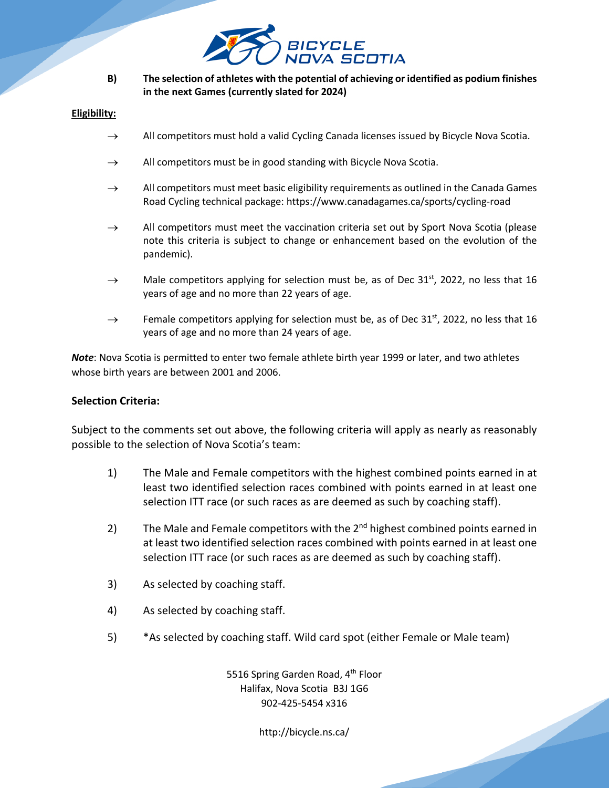

**B) The selection of athletes with the potential of achieving or identified as podium finishes in the next Games (currently slated for 2024)**

#### **Eligibility:**

- $\rightarrow$  All competitors must hold a valid Cycling Canada licenses issued by Bicycle Nova Scotia.
- $\rightarrow$  All competitors must be in good standing with Bicycle Nova Scotia.
- $\rightarrow$  All competitors must meet basic eligibility requirements as outlined in the Canada Games Road Cycling technical package: https://www.canadagames.ca/sports/cycling-road
- $\rightarrow$  All competitors must meet the vaccination criteria set out by Sport Nova Scotia (please note this criteria is subject to change or enhancement based on the evolution of the pandemic).
- $\rightarrow$  Male competitors applying for selection must be, as of Dec 31<sup>st</sup>, 2022, no less that 16 years of age and no more than 22 years of age.
- $\rightarrow$  Female competitors applying for selection must be, as of Dec 31<sup>st</sup>, 2022, no less that 16 years of age and no more than 24 years of age.

*Note*: Nova Scotia is permitted to enter two female athlete birth year 1999 or later, and two athletes whose birth years are between 2001 and 2006.

## **Selection Criteria:**

Subject to the comments set out above, the following criteria will apply as nearly as reasonably possible to the selection of Nova Scotia's team:

- 1) The Male and Female competitors with the highest combined points earned in at least two identified selection races combined with points earned in at least one selection ITT race (or such races as are deemed as such by coaching staff).
- 2) The Male and Female competitors with the  $2<sup>nd</sup>$  highest combined points earned in at least two identified selection races combined with points earned in at least one selection ITT race (or such races as are deemed as such by coaching staff).
- 3) As selected by coaching staff.
- 4) As selected by coaching staff.
- 5) \*As selected by coaching staff. Wild card spot (either Female or Male team)

5516 Spring Garden Road, 4<sup>th</sup> Floor Halifax, Nova Scotia B3J 1G6 902-425-5454 x316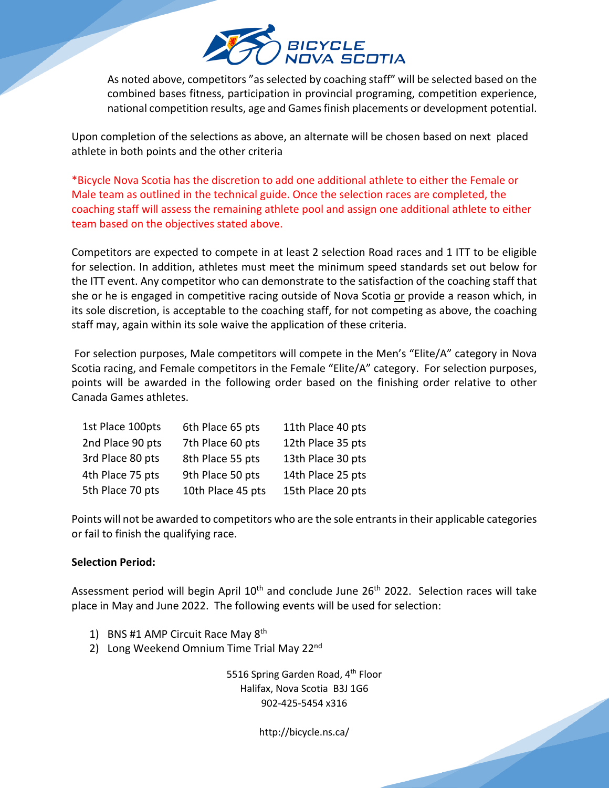

As noted above, competitors "as selected by coaching staff" will be selected based on the combined bases fitness, participation in provincial programing, competition experience, national competition results, age and Games finish placements or development potential.

Upon completion of the selections as above, an alternate will be chosen based on next placed athlete in both points and the other criteria

\*Bicycle Nova Scotia has the discretion to add one additional athlete to either the Female or Male team as outlined in the technical guide. Once the selection races are completed, the coaching staff will assess the remaining athlete pool and assign one additional athlete to either team based on the objectives stated above.

Competitors are expected to compete in at least 2 selection Road races and 1 ITT to be eligible for selection. In addition, athletes must meet the minimum speed standards set out below for the ITT event. Any competitor who can demonstrate to the satisfaction of the coaching staff that she or he is engaged in competitive racing outside of Nova Scotia or provide a reason which, in its sole discretion, is acceptable to the coaching staff, for not competing as above, the coaching staff may, again within its sole waive the application of these criteria.

For selection purposes, Male competitors will compete in the Men's "Elite/A" category in Nova Scotia racing, and Female competitors in the Female "Elite/A" category. For selection purposes, points will be awarded in the following order based on the finishing order relative to other Canada Games athletes.

| 1st Place 100pts | 6th Place 65 pts  | 11th Place 40 pts |
|------------------|-------------------|-------------------|
| 2nd Place 90 pts | 7th Place 60 pts  | 12th Place 35 pts |
| 3rd Place 80 pts | 8th Place 55 pts  | 13th Place 30 pts |
| 4th Place 75 pts | 9th Place 50 pts  | 14th Place 25 pts |
| 5th Place 70 pts | 10th Place 45 pts | 15th Place 20 pts |
|                  |                   |                   |

Points will not be awarded to competitors who are the sole entrants in their applicable categories or fail to finish the qualifying race.

## **Selection Period:**

Assessment period will begin April 10<sup>th</sup> and conclude June 26<sup>th</sup> 2022. Selection races will take place in May and June 2022. The following events will be used for selection:

- 1) BNS #1 AMP Circuit Race May 8th
- 2) Long Weekend Omnium Time Trial May 22<sup>nd</sup>

5516 Spring Garden Road, 4<sup>th</sup> Floor Halifax, Nova Scotia B3J 1G6 902-425-5454 x316